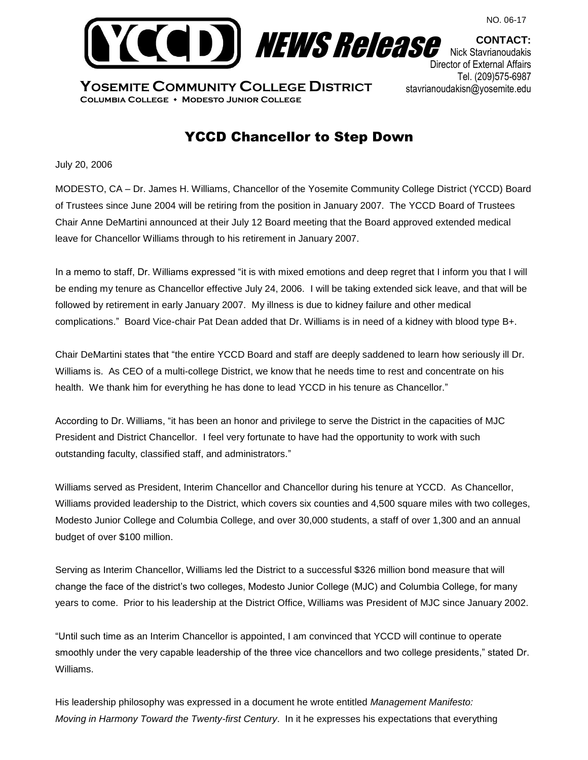

**YOSEMITE COMMUNITY COLLEGE DISTRICT Columbia College Modesto Junior College**

**CONTACT:** Nick Stavrianoudakis Director of External Affairs Tel. (209)575-6987 stavrianoudakisn@yosemite.edu

## YCCD Chancellor to Step Down

July 20, 2006

MODESTO, CA – Dr. James H. Williams, Chancellor of the Yosemite Community College District (YCCD) Board of Trustees since June 2004 will be retiring from the position in January 2007. The YCCD Board of Trustees Chair Anne DeMartini announced at their July 12 Board meeting that the Board approved extended medical leave for Chancellor Williams through to his retirement in January 2007.

In a memo to staff, Dr. Williams expressed "it is with mixed emotions and deep regret that I inform you that I will be ending my tenure as Chancellor effective July 24, 2006. I will be taking extended sick leave, and that will be followed by retirement in early January 2007. My illness is due to kidney failure and other medical complications." Board Vice-chair Pat Dean added that Dr. Williams is in need of a kidney with blood type B+.

Chair DeMartini states that "the entire YCCD Board and staff are deeply saddened to learn how seriously ill Dr. Williams is. As CEO of a multi-college District, we know that he needs time to rest and concentrate on his health. We thank him for everything he has done to lead YCCD in his tenure as Chancellor."

According to Dr. Williams, "it has been an honor and privilege to serve the District in the capacities of MJC President and District Chancellor. I feel very fortunate to have had the opportunity to work with such outstanding faculty, classified staff, and administrators."

Williams served as President, Interim Chancellor and Chancellor during his tenure at YCCD. As Chancellor, Williams provided leadership to the District, which covers six counties and 4,500 square miles with two colleges, Modesto Junior College and Columbia College, and over 30,000 students, a staff of over 1,300 and an annual budget of over \$100 million.

Serving as Interim Chancellor, Williams led the District to a successful \$326 million bond measure that will change the face of the district's two colleges, Modesto Junior College (MJC) and Columbia College, for many years to come. Prior to his leadership at the District Office, Williams was President of MJC since January 2002.

"Until such time as an Interim Chancellor is appointed, I am convinced that YCCD will continue to operate smoothly under the very capable leadership of the three vice chancellors and two college presidents," stated Dr. Williams.

His leadership philosophy was expressed in a document he wrote entitled *Management Manifesto: Moving in Harmony Toward the Twenty-first Century*. In it he expresses his expectations that everything